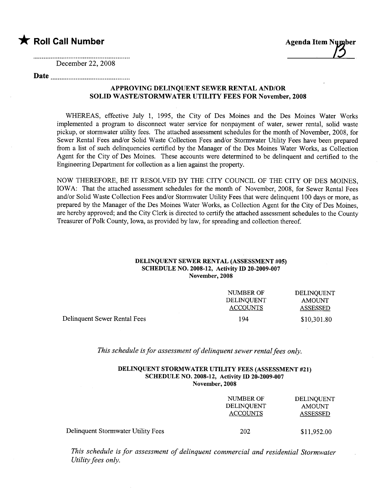### **\*** Roll Call Number Agenda Item Number

December 22, 2008

### Date

#### APPROVING DELINQUENT SEWER RENTAL AND/OR SOLID WASTE/STORMWATER UTILITY FEES FOR November, 2008

WHEREAS, effective July 1, 1995, the City of Des Moines and the Des Moines Water Works implemented a program to disconnect water service for nonpayment of water, sewer rental, solid waste pickup, or stormwater utilty fees. The attached assessment schedules for the month of November, 2008, for Sewer Rental Fees and/or Solid Waste Collection Fees and/or Stormwater Utility Fees have been prepared from a list of such delinquencies certified by the Manager of the Des Moines Water Works, as Collection Agent for the City of Des Moines. These accounts were determned to be delinquent and certified to the Engineering Department for collection as a lien against the propert.

NOW THEREFORE, BE IT RESOLVED BY THE CITY COUNCIL OF THE CITY OF DES MOINES, IOWA: That the attached assessment schedules for the month of November, 2008, for Sewer Rental Fees and/or Solid Waste Collection Fees and/or Stormwater Utility Fees that were delinquent 100 days or more, as prepared by the Manager of the Des Moines Water Works, as Collection Agent for the City of Des Moines, are hereby approved; and the City Clerk is directed to certify the attached assessment schedules to the County Treasurer of Polk County, Iowa, as provided by law, for spreading and collection thereof.

#### DELINQUENT SEWER RENTAL (ASSESSMENT #05) SCHEDULE NO. 2008-12, Activity ID 20-2009-007 November, 2008

|                              | NUMBER OF                     | DELINQUENT      |
|------------------------------|-------------------------------|-----------------|
|                              | DELINOUENT<br><b>ACCOUNTS</b> | AMOUNT          |
|                              |                               | <b>ASSESSED</b> |
| Delinquent Sewer Rental Fees | 194                           | \$10,301.80     |

This schedule is for assessment of delinquent sewer rental fees only.

#### DELINQUENT STORMWATER UTILITY FEES (ASSESSMENT #21) SCHEDULE NO. 2008-12, Activity ID 20-2009-007 November, 2008

|                                    | NUMBER OF<br>DELINQUENT<br><b>ACCOUNTS</b> | DELINOUENT<br><b>AMOUNT</b><br>ASSESSED |
|------------------------------------|--------------------------------------------|-----------------------------------------|
| Delinquent Stormwater Utility Fees | 202                                        | \$11,952.00                             |

This schedule is for assessment of delinquent commercial and residential Stormwater Utility fees only.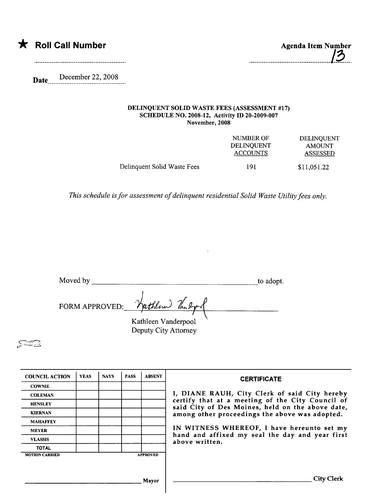

Date..... .~~~~~~~~.~~:.???~....

#### DELINQUENT SOLID WASTE FEES (ASSESSMENT #17) SCHEDULE NO. 2008-12, Activity ID 20-2009-007 November, 2008

|                             | NUMBER OF<br><b>DELINOUENT</b><br><b>ACCOUNTS</b> | DELINQUENT<br><b>AMOUNT</b><br><b>ASSESSED</b> |
|-----------------------------|---------------------------------------------------|------------------------------------------------|
| Delinquent Solid Waste Fees | 191                                               | \$11,051.22                                    |

This schedule is for assessment of delinquent residential Solid Waste Utility fees only.

| Moved by |                                | to adopt. |
|----------|--------------------------------|-----------|
|          | FORM APPROVED: Vathlow Vandrow |           |
|          | Kathleen Vanderpool            |           |
|          | Deputy City Attorney           |           |

 $\mathcal{Z}\widehat{=}\mathbb{E}$ 

| <b>COUNCIL ACTION</b> | <b>YEAS</b> | <b>NAYS</b> | <b>PASS</b> | <b>ABSENT</b>   | <b>CERTIFICATE</b>                                                                                   |
|-----------------------|-------------|-------------|-------------|-----------------|------------------------------------------------------------------------------------------------------|
| <b>COWNIE</b>         |             |             |             |                 |                                                                                                      |
| <b>COLEMAN</b>        |             |             |             |                 | I, DIANE RAUH, City Clerk of said City hereby                                                        |
| <b>HENSLEY</b>        |             |             |             |                 | certify that at a meeting of the City Council of<br>said City of Des Moines, held on the above date, |
| <b>KIERNAN</b>        |             |             |             |                 | among other proceedings the above was adopted.                                                       |
| <b>MAHAFFEY</b>       |             |             |             |                 |                                                                                                      |
| <b>MEYER</b>          |             |             |             |                 | IN WITNESS WHEREOF, I have hereunto set my                                                           |
| <b>VLASSIS</b>        |             |             |             |                 | hand and affixed my seal the day and year first<br>above written.                                    |
| <b>TOTAL</b>          |             |             |             |                 |                                                                                                      |
| <b>MOTION CARRIED</b> |             |             |             | <b>APPROVED</b> |                                                                                                      |
|                       |             |             |             |                 |                                                                                                      |
|                       |             |             |             |                 |                                                                                                      |
|                       |             |             |             | Mavor           | City Clerk                                                                                           |